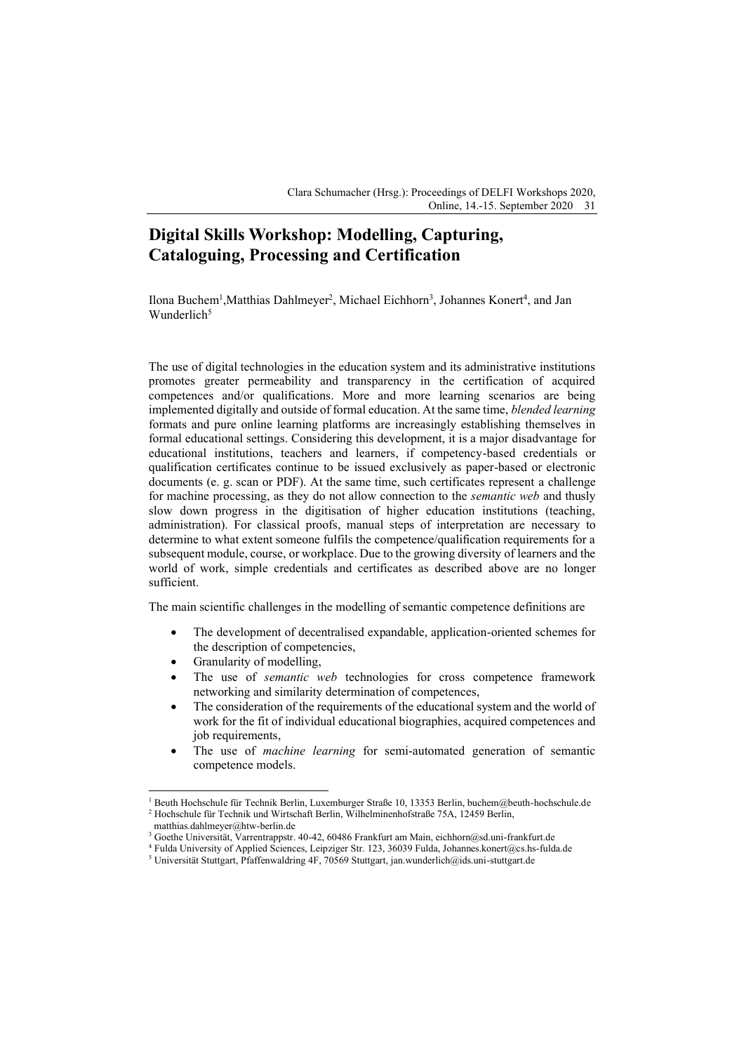Clara Schumacher (Hrsg.): Proceedings of DELFI Workshops 2020, Online, 14.-15. September 2020 31

## **Digital Skills Workshop: Modelling, Capturing, Cataloguing, Processing and Certification**

Ilona Buchem<sup>1</sup>, Matthias Dahlmeyer<sup>2</sup>, Michael Eichhorn<sup>3</sup>, Johannes Konert<sup>4</sup>, and Jan Wunderlich $5$ 

The use of digital technologies in the education system and its administrative institutions promotes greater permeability and transparency in the certification of acquired competences and/or qualifications. More and more learning scenarios are being implemented digitally and outside of formal education. At the same time, *blended learning* formats and pure online learning platforms are increasingly establishing themselves in formal educational settings. Considering this development, it is a major disadvantage for educational institutions, teachers and learners, if competency-based credentials or qualification certificates continue to be issued exclusively as paper-based or electronic documents (e. g. scan or PDF). At the same time, such certificates represent a challenge for machine processing, as they do not allow connection to the *semantic web* and thusly slow down progress in the digitisation of higher education institutions (teaching, administration). For classical proofs, manual steps of interpretation are necessary to determine to what extent someone fulfils the competence/qualification requirements for a subsequent module, course, or workplace. Due to the growing diversity of learners and the world of work, simple credentials and certificates as described above are no longer sufficient.

The main scientific challenges in the modelling of semantic competence definitions are

- The development of decentralised expandable, application-oriented schemes for the description of competencies,
- $\bullet$  Granularity of modelling,
- The use of *semantic web* technologies for cross competence framework networking and similarity determination of competences,
- The consideration of the requirements of the educational system and the world of work for the fit of individual educational biographies, acquired competences and job requirements,
- The use of *machine learning* for semi-automated generation of semantic competence models.

<sup>1</sup> Beuth Hochschule für Technik Berlin, Luxemburger Straße 10, 13353 Berlin, buchem@beuth-hochschule.de <sup>2</sup> Hochschule für Technik und Wirtschaft Berlin, Wilhelminenhofstraße 75A, 12459 Berlin,

matthias.dahlmeyer@htw-berlin.de

<sup>3</sup> Goethe Universität, Varrentrappstr. 40-42, 60486 Frankfurt am Main, eichhorn@sd.uni-frankfurt.de

<sup>4</sup> Fulda University of Applied Sciences, Leipziger Str. 123, 36039 Fulda, Johannes.konert@cs.hs-fulda.de

<sup>5</sup> Universität Stuttgart, Pfaffenwaldring 4F, 70569 Stuttgart, jan.wunderlich@ids.uni-stuttgart.de